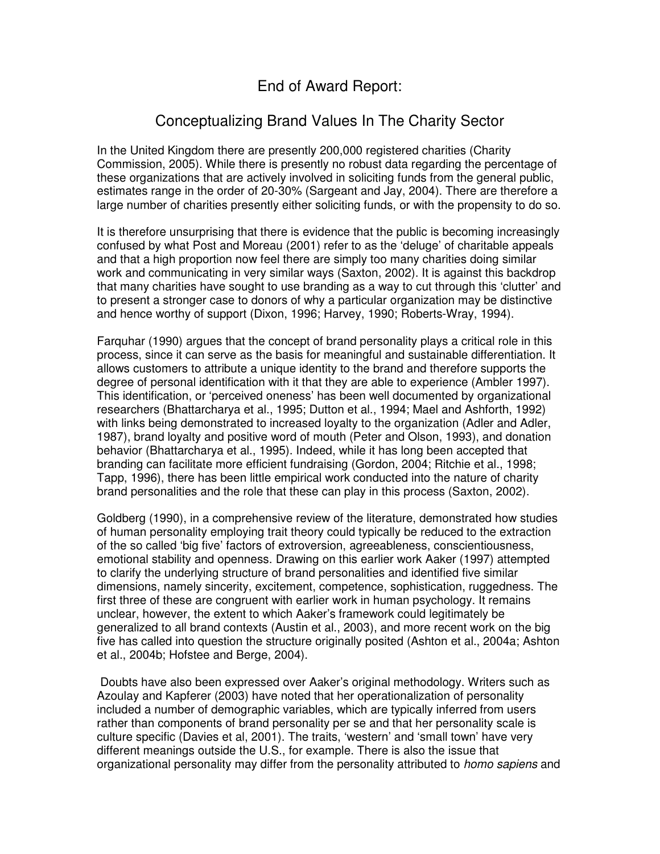# End of Award Report:

# Conceptualizing Brand Values In The Charity Sector

In the United Kingdom there are presently 200,000 registered charities (Charity Commission, 2005). While there is presently no robust data regarding the percentage of these organizations that are actively involved in soliciting funds from the general public, estimates range in the order of 20-30% (Sargeant and Jay, 2004). There are therefore a large number of charities presently either soliciting funds, or with the propensity to do so.

It is therefore unsurprising that there is evidence that the public is becoming increasingly confused by what Post and Moreau (2001) refer to as the 'deluge' of charitable appeals and that a high proportion now feel there are simply too many charities doing similar work and communicating in very similar ways (Saxton, 2002). It is against this backdrop that many charities have sought to use branding as a way to cut through this 'clutter' and to present a stronger case to donors of why a particular organization may be distinctive and hence worthy of support (Dixon, 1996; Harvey, 1990; Roberts-Wray, 1994).

Farquhar (1990) argues that the concept of brand personality plays a critical role in this process, since it can serve as the basis for meaningful and sustainable differentiation. It allows customers to attribute a unique identity to the brand and therefore supports the degree of personal identification with it that they are able to experience (Ambler 1997). This identification, or 'perceived oneness' has been well documented by organizational researchers (Bhattarcharya et al., 1995; Dutton et al., 1994; Mael and Ashforth, 1992) with links being demonstrated to increased loyalty to the organization (Adler and Adler, 1987), brand loyalty and positive word of mouth (Peter and Olson, 1993), and donation behavior (Bhattarcharya et al., 1995). Indeed, while it has long been accepted that branding can facilitate more efficient fundraising (Gordon, 2004; Ritchie et al., 1998; Tapp, 1996), there has been little empirical work conducted into the nature of charity brand personalities and the role that these can play in this process (Saxton, 2002).

Goldberg (1990), in a comprehensive review of the literature, demonstrated how studies of human personality employing trait theory could typically be reduced to the extraction of the so called 'big five' factors of extroversion, agreeableness, conscientiousness, emotional stability and openness. Drawing on this earlier work Aaker (1997) attempted to clarify the underlying structure of brand personalities and identified five similar dimensions, namely sincerity, excitement, competence, sophistication, ruggedness. The first three of these are congruent with earlier work in human psychology. It remains unclear, however, the extent to which Aaker's framework could legitimately be generalized to all brand contexts (Austin et al., 2003), and more recent work on the big five has called into question the structure originally posited (Ashton et al., 2004a; Ashton et al., 2004b; Hofstee and Berge, 2004).

Doubts have also been expressed over Aaker's original methodology. Writers such as Azoulay and Kapferer (2003) have noted that her operationalization of personality included a number of demographic variables, which are typically inferred from users rather than components of brand personality per se and that her personality scale is culture specific (Davies et al, 2001). The traits, 'western' and 'small town' have very different meanings outside the U.S., for example. There is also the issue that organizational personality may differ from the personality attributed to *homo sapiens* and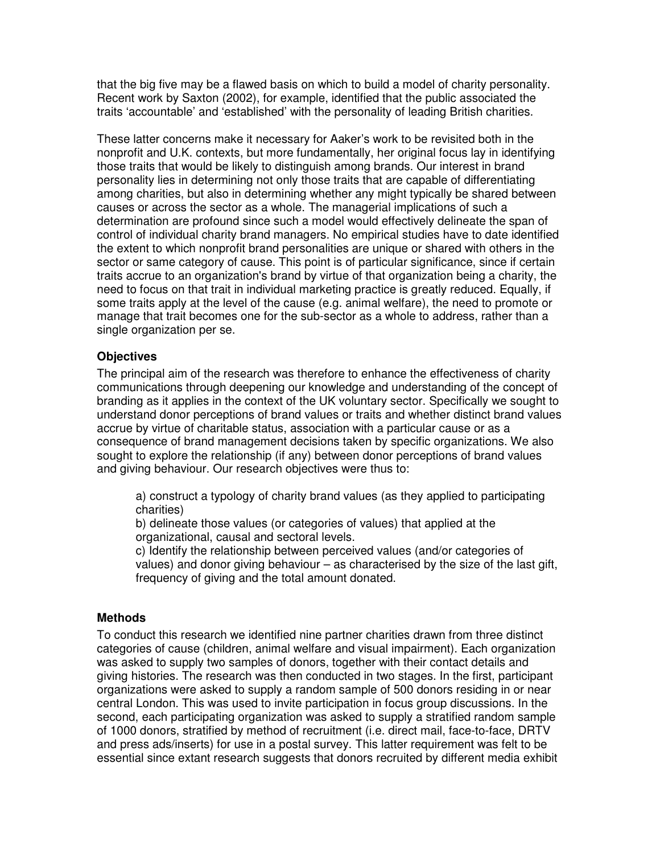that the big five may be a flawed basis on which to build a model of charity personality. Recent work by Saxton (2002), for example, identified that the public associated the traits 'accountable' and 'established' with the personality of leading British charities.

These latter concerns make it necessary for Aaker's work to be revisited both in the nonprofit and U.K. contexts, but more fundamentally, her original focus lay in identifying those traits that would be likely to distinguish among brands. Our interest in brand personality lies in determining not only those traits that are capable of differentiating among charities, but also in determining whether any might typically be shared between causes or across the sector as a whole. The managerial implications of such a determination are profound since such a model would effectively delineate the span of control of individual charity brand managers. No empirical studies have to date identified the extent to which nonprofit brand personalities are unique or shared with others in the sector or same category of cause. This point is of particular significance, since if certain traits accrue to an organization's brand by virtue of that organization being a charity, the need to focus on that trait in individual marketing practice is greatly reduced. Equally, if some traits apply at the level of the cause (e.g. animal welfare), the need to promote or manage that trait becomes one for the sub-sector as a whole to address, rather than a single organization per se.

# **Objectives**

The principal aim of the research was therefore to enhance the effectiveness of charity communications through deepening our knowledge and understanding of the concept of branding as it applies in the context of the UK voluntary sector. Specifically we sought to understand donor perceptions of brand values or traits and whether distinct brand values accrue by virtue of charitable status, association with a particular cause or as a consequence of brand management decisions taken by specific organizations. We also sought to explore the relationship (if any) between donor perceptions of brand values and giving behaviour. Our research objectives were thus to:

a) construct a typology of charity brand values (as they applied to participating charities)

b) delineate those values (or categories of values) that applied at the organizational, causal and sectoral levels.

c) Identify the relationship between perceived values (and/or categories of values) and donor giving behaviour – as characterised by the size of the last gift, frequency of giving and the total amount donated.

# **Methods**

To conduct this research we identified nine partner charities drawn from three distinct categories of cause (children, animal welfare and visual impairment). Each organization was asked to supply two samples of donors, together with their contact details and giving histories. The research was then conducted in two stages. In the first, participant organizations were asked to supply a random sample of 500 donors residing in or near central London. This was used to invite participation in focus group discussions. In the second, each participating organization was asked to supply a stratified random sample of 1000 donors, stratified by method of recruitment (i.e. direct mail, face-to-face, DRTV and press ads/inserts) for use in a postal survey. This latter requirement was felt to be essential since extant research suggests that donors recruited by different media exhibit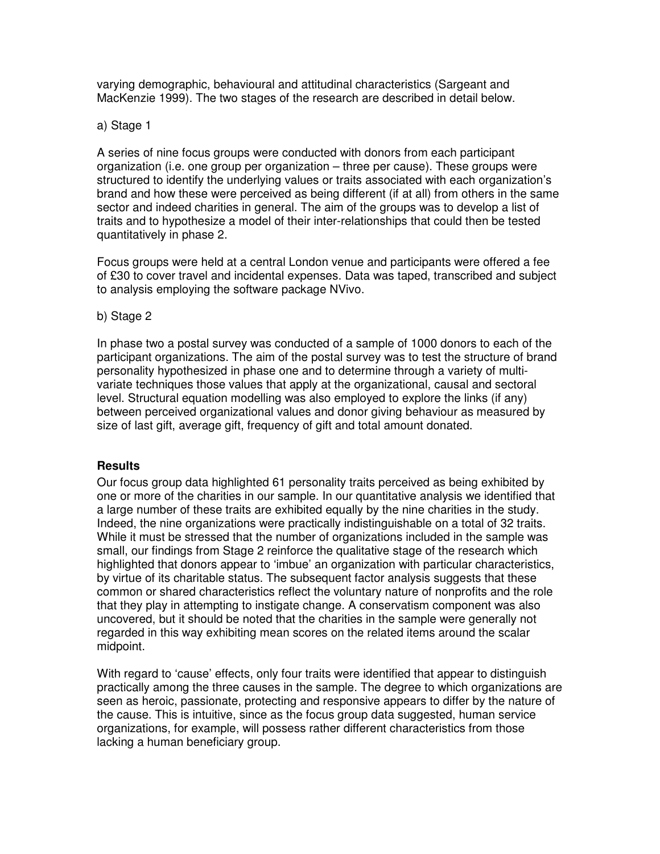varying demographic, behavioural and attitudinal characteristics (Sargeant and MacKenzie 1999). The two stages of the research are described in detail below.

## a) Stage 1

A series of nine focus groups were conducted with donors from each participant organization (i.e. one group per organization – three per cause). These groups were structured to identify the underlying values or traits associated with each organization's brand and how these were perceived as being different (if at all) from others in the same sector and indeed charities in general. The aim of the groups was to develop a list of traits and to hypothesize a model of their inter-relationships that could then be tested quantitatively in phase 2.

Focus groups were held at a central London venue and participants were offered a fee of £30 to cover travel and incidental expenses. Data was taped, transcribed and subject to analysis employing the software package NVivo.

### b) Stage 2

In phase two a postal survey was conducted of a sample of 1000 donors to each of the participant organizations. The aim of the postal survey was to test the structure of brand personality hypothesized in phase one and to determine through a variety of multivariate techniques those values that apply at the organizational, causal and sectoral level. Structural equation modelling was also employed to explore the links (if any) between perceived organizational values and donor giving behaviour as measured by size of last gift, average gift, frequency of gift and total amount donated.

# **Results**

Our focus group data highlighted 61 personality traits perceived as being exhibited by one or more of the charities in our sample. In our quantitative analysis we identified that a large number of these traits are exhibited equally by the nine charities in the study. Indeed, the nine organizations were practically indistinguishable on a total of 32 traits. While it must be stressed that the number of organizations included in the sample was small, our findings from Stage 2 reinforce the qualitative stage of the research which highlighted that donors appear to 'imbue' an organization with particular characteristics, by virtue of its charitable status. The subsequent factor analysis suggests that these common or shared characteristics reflect the voluntary nature of nonprofits and the role that they play in attempting to instigate change. A conservatism component was also uncovered, but it should be noted that the charities in the sample were generally not regarded in this way exhibiting mean scores on the related items around the scalar midpoint.

With regard to 'cause' effects, only four traits were identified that appear to distinguish practically among the three causes in the sample. The degree to which organizations are seen as heroic, passionate, protecting and responsive appears to differ by the nature of the cause. This is intuitive, since as the focus group data suggested, human service organizations, for example, will possess rather different characteristics from those lacking a human beneficiary group.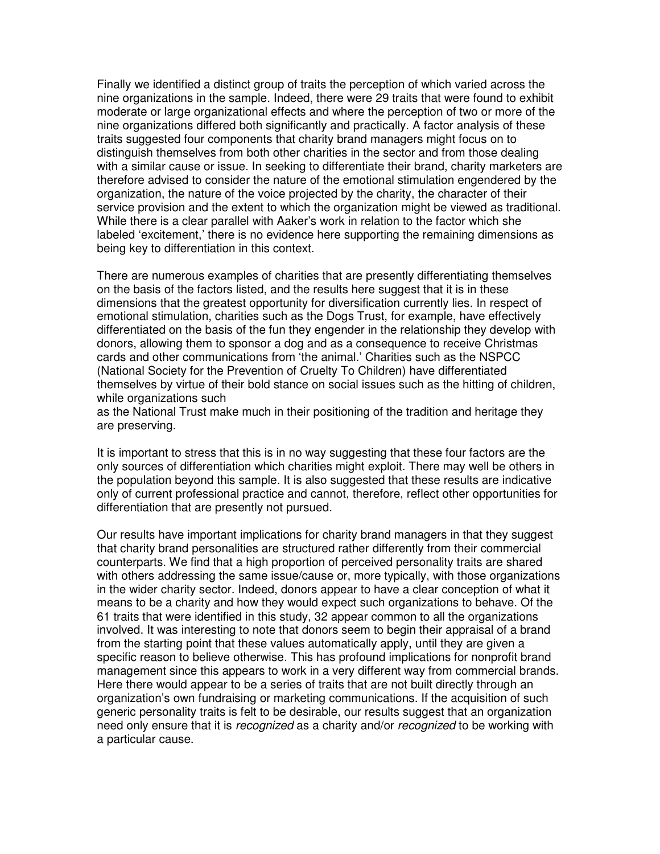Finally we identified a distinct group of traits the perception of which varied across the nine organizations in the sample. Indeed, there were 29 traits that were found to exhibit moderate or large organizational effects and where the perception of two or more of the nine organizations differed both significantly and practically. A factor analysis of these traits suggested four components that charity brand managers might focus on to distinguish themselves from both other charities in the sector and from those dealing with a similar cause or issue. In seeking to differentiate their brand, charity marketers are therefore advised to consider the nature of the emotional stimulation engendered by the organization, the nature of the voice projected by the charity, the character of their service provision and the extent to which the organization might be viewed as traditional. While there is a clear parallel with Aaker's work in relation to the factor which she labeled 'excitement,' there is no evidence here supporting the remaining dimensions as being key to differentiation in this context.

There are numerous examples of charities that are presently differentiating themselves on the basis of the factors listed, and the results here suggest that it is in these dimensions that the greatest opportunity for diversification currently lies. In respect of emotional stimulation, charities such as the Dogs Trust, for example, have effectively differentiated on the basis of the fun they engender in the relationship they develop with donors, allowing them to sponsor a dog and as a consequence to receive Christmas cards and other communications from 'the animal.' Charities such as the NSPCC (National Society for the Prevention of Cruelty To Children) have differentiated themselves by virtue of their bold stance on social issues such as the hitting of children, while organizations such

as the National Trust make much in their positioning of the tradition and heritage they are preserving.

It is important to stress that this is in no way suggesting that these four factors are the only sources of differentiation which charities might exploit. There may well be others in the population beyond this sample. It is also suggested that these results are indicative only of current professional practice and cannot, therefore, reflect other opportunities for differentiation that are presently not pursued.

Our results have important implications for charity brand managers in that they suggest that charity brand personalities are structured rather differently from their commercial counterparts. We find that a high proportion of perceived personality traits are shared with others addressing the same issue/cause or, more typically, with those organizations in the wider charity sector. Indeed, donors appear to have a clear conception of what it means to be a charity and how they would expect such organizations to behave. Of the 61 traits that were identified in this study, 32 appear common to all the organizations involved. It was interesting to note that donors seem to begin their appraisal of a brand from the starting point that these values automatically apply, until they are given a specific reason to believe otherwise. This has profound implications for nonprofit brand management since this appears to work in a very different way from commercial brands. Here there would appear to be a series of traits that are not built directly through an organization's own fundraising or marketing communications. If the acquisition of such generic personality traits is felt to be desirable, our results suggest that an organization need only ensure that it is *recognized* as a charity and/or *recognized* to be working with a particular cause.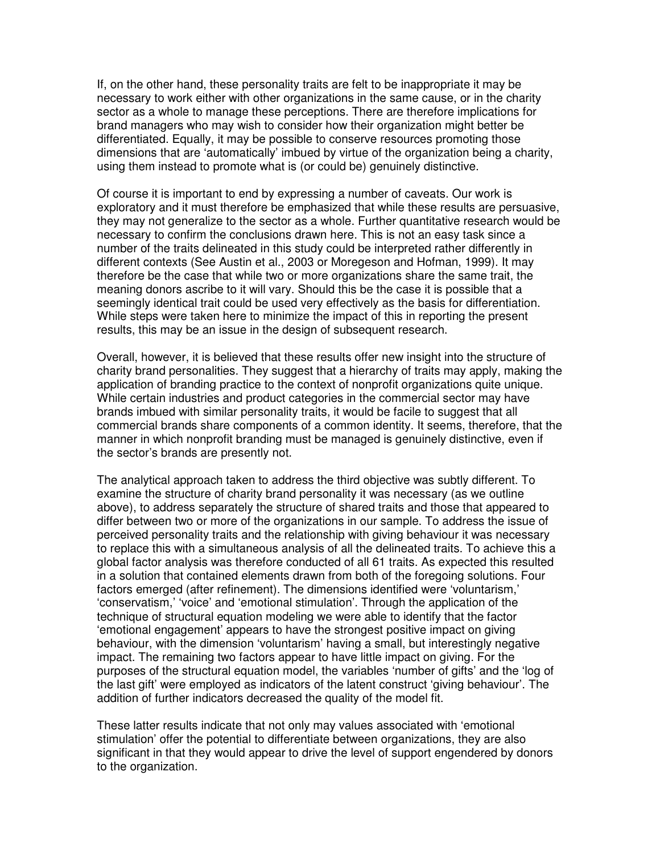If, on the other hand, these personality traits are felt to be inappropriate it may be necessary to work either with other organizations in the same cause, or in the charity sector as a whole to manage these perceptions. There are therefore implications for brand managers who may wish to consider how their organization might better be differentiated. Equally, it may be possible to conserve resources promoting those dimensions that are 'automatically' imbued by virtue of the organization being a charity, using them instead to promote what is (or could be) genuinely distinctive.

Of course it is important to end by expressing a number of caveats. Our work is exploratory and it must therefore be emphasized that while these results are persuasive, they may not generalize to the sector as a whole. Further quantitative research would be necessary to confirm the conclusions drawn here. This is not an easy task since a number of the traits delineated in this study could be interpreted rather differently in different contexts (See Austin et al., 2003 or Moregeson and Hofman, 1999). It may therefore be the case that while two or more organizations share the same trait, the meaning donors ascribe to it will vary. Should this be the case it is possible that a seemingly identical trait could be used very effectively as the basis for differentiation. While steps were taken here to minimize the impact of this in reporting the present results, this may be an issue in the design of subsequent research.

Overall, however, it is believed that these results offer new insight into the structure of charity brand personalities. They suggest that a hierarchy of traits may apply, making the application of branding practice to the context of nonprofit organizations quite unique. While certain industries and product categories in the commercial sector may have brands imbued with similar personality traits, it would be facile to suggest that all commercial brands share components of a common identity. It seems, therefore, that the manner in which nonprofit branding must be managed is genuinely distinctive, even if the sector's brands are presently not.

The analytical approach taken to address the third objective was subtly different. To examine the structure of charity brand personality it was necessary (as we outline above), to address separately the structure of shared traits and those that appeared to differ between two or more of the organizations in our sample. To address the issue of perceived personality traits and the relationship with giving behaviour it was necessary to replace this with a simultaneous analysis of all the delineated traits. To achieve this a global factor analysis was therefore conducted of all 61 traits. As expected this resulted in a solution that contained elements drawn from both of the foregoing solutions. Four factors emerged (after refinement). The dimensions identified were 'voluntarism,' 'conservatism,' 'voice' and 'emotional stimulation'. Through the application of the technique of structural equation modeling we were able to identify that the factor 'emotional engagement' appears to have the strongest positive impact on giving behaviour, with the dimension 'voluntarism' having a small, but interestingly negative impact. The remaining two factors appear to have little impact on giving. For the purposes of the structural equation model, the variables 'number of gifts' and the 'log of the last gift' were employed as indicators of the latent construct 'giving behaviour'. The addition of further indicators decreased the quality of the model fit.

These latter results indicate that not only may values associated with 'emotional stimulation' offer the potential to differentiate between organizations, they are also significant in that they would appear to drive the level of support engendered by donors to the organization.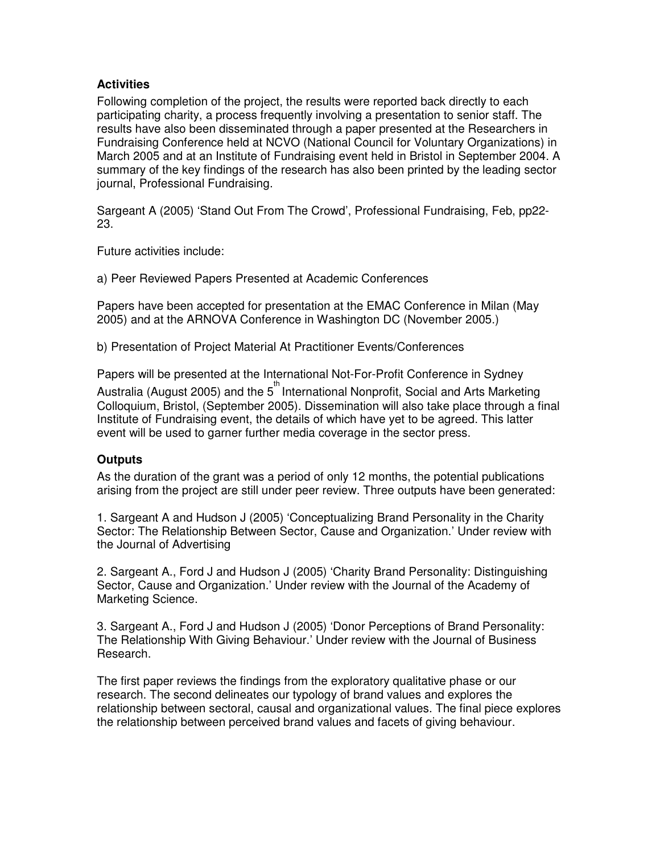# **Activities**

Following completion of the project, the results were reported back directly to each participating charity, a process frequently involving a presentation to senior staff. The results have also been disseminated through a paper presented at the Researchers in Fundraising Conference held at NCVO (National Council for Voluntary Organizations) in March 2005 and at an Institute of Fundraising event held in Bristol in September 2004. A summary of the key findings of the research has also been printed by the leading sector journal, Professional Fundraising.

Sargeant A (2005) 'Stand Out From The Crowd', Professional Fundraising, Feb, pp22- 23.

Future activities include:

a) Peer Reviewed Papers Presented at Academic Conferences

Papers have been accepted for presentation at the EMAC Conference in Milan (May 2005) and at the ARNOVA Conference in Washington DC (November 2005.)

b) Presentation of Project Material At Practitioner Events/Conferences

Papers will be presented at the International Not-For-Profit Conference in Sydney

Australia (August 2005) and the 5<sup>th</sup> International Nonprofit, Social and Arts Marketing Colloquium, Bristol, (September 2005). Dissemination will also take place through a final Institute of Fundraising event, the details of which have yet to be agreed. This latter event will be used to garner further media coverage in the sector press.

# **Outputs**

As the duration of the grant was a period of only 12 months, the potential publications arising from the project are still under peer review. Three outputs have been generated:

1. Sargeant A and Hudson J (2005) 'Conceptualizing Brand Personality in the Charity Sector: The Relationship Between Sector, Cause and Organization.' Under review with the Journal of Advertising

2. Sargeant A., Ford J and Hudson J (2005) 'Charity Brand Personality: Distinguishing Sector, Cause and Organization.' Under review with the Journal of the Academy of Marketing Science.

3. Sargeant A., Ford J and Hudson J (2005) 'Donor Perceptions of Brand Personality: The Relationship With Giving Behaviour.' Under review with the Journal of Business Research.

The first paper reviews the findings from the exploratory qualitative phase or our research. The second delineates our typology of brand values and explores the relationship between sectoral, causal and organizational values. The final piece explores the relationship between perceived brand values and facets of giving behaviour.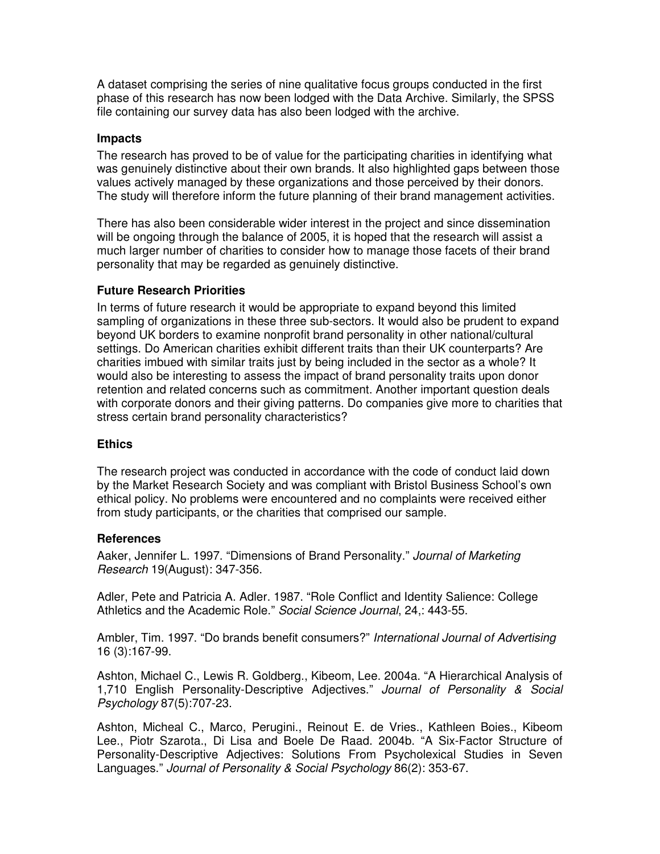A dataset comprising the series of nine qualitative focus groups conducted in the first phase of this research has now been lodged with the Data Archive. Similarly, the SPSS file containing our survey data has also been lodged with the archive.

## **Impacts**

The research has proved to be of value for the participating charities in identifying what was genuinely distinctive about their own brands. It also highlighted gaps between those values actively managed by these organizations and those perceived by their donors. The study will therefore inform the future planning of their brand management activities.

There has also been considerable wider interest in the project and since dissemination will be ongoing through the balance of 2005, it is hoped that the research will assist a much larger number of charities to consider how to manage those facets of their brand personality that may be regarded as genuinely distinctive.

# **Future Research Priorities**

In terms of future research it would be appropriate to expand beyond this limited sampling of organizations in these three sub-sectors. It would also be prudent to expand beyond UK borders to examine nonprofit brand personality in other national/cultural settings. Do American charities exhibit different traits than their UK counterparts? Are charities imbued with similar traits just by being included in the sector as a whole? It would also be interesting to assess the impact of brand personality traits upon donor retention and related concerns such as commitment. Another important question deals with corporate donors and their giving patterns. Do companies give more to charities that stress certain brand personality characteristics?

### **Ethics**

The research project was conducted in accordance with the code of conduct laid down by the Market Research Society and was compliant with Bristol Business School's own ethical policy. No problems were encountered and no complaints were received either from study participants, or the charities that comprised our sample.

### **References**

Aaker, Jennifer L. 1997. "Dimensions of Brand Personality." *Journal of Marketing Research* 19(August): 347-356.

Adler, Pete and Patricia A. Adler. 1987. "Role Conflict and Identity Salience: College Athletics and the Academic Role." *Social Science Journal*, 24,: 443-55.

Ambler, Tim. 1997. "Do brands benefit consumers?" *International Journal of Advertising* 16 (3):167-99.

Ashton, Michael C., Lewis R. Goldberg., Kibeom, Lee. 2004a. "A Hierarchical Analysis of 1,710 English Personality-Descriptive Adjectives." *Journal of Personality & Social Psychology* 87(5):707-23.

Ashton, Micheal C., Marco, Perugini., Reinout E. de Vries., Kathleen Boies., Kibeom Lee., Piotr Szarota., Di Lisa and Boele De Raad. 2004b. "A Six-Factor Structure of Personality-Descriptive Adjectives: Solutions From Psycholexical Studies in Seven Languages." *Journal of Personality & Social Psychology* 86(2): 353-67.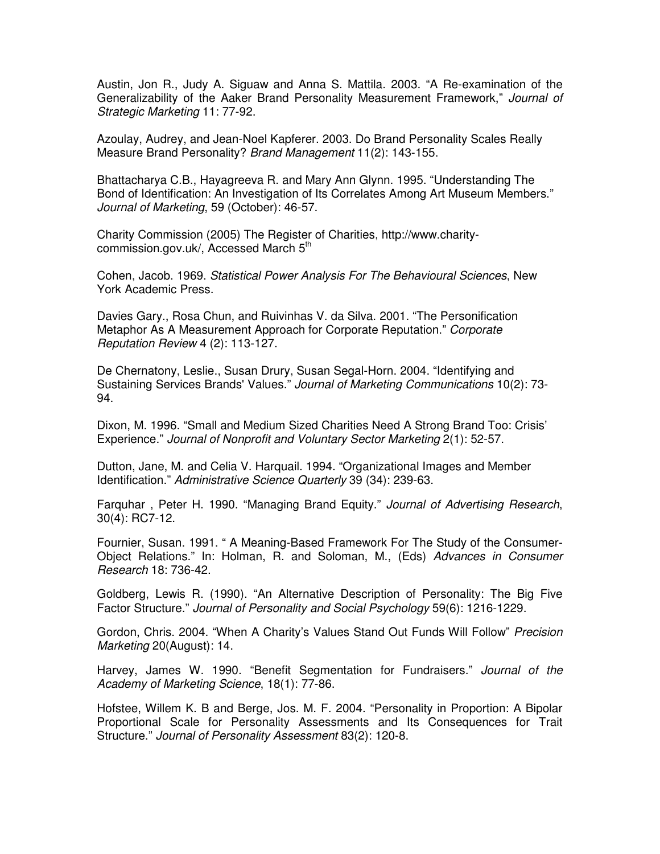Austin, Jon R., Judy A. Siguaw and Anna S. Mattila. 2003. "A Re-examination of the Generalizability of the Aaker Brand Personality Measurement Framework," *Journal of Strategic Marketing* 11: 77-92.

Azoulay, Audrey, and Jean-Noel Kapferer. 2003. Do Brand Personality Scales Really Measure Brand Personality? *Brand Management* 11(2): 143-155.

Bhattacharya C.B., Hayagreeva R. and Mary Ann Glynn. 1995. "Understanding The Bond of Identification: An Investigation of Its Correlates Among Art Museum Members." *Journal of Marketing*, 59 (October): 46-57.

Charity Commission (2005) The Register of Charities, http://www.charitycommission.gov.uk/, Accessed March 5<sup>th</sup>

Cohen, Jacob. 1969. *Statistical Power Analysis For The Behavioural Sciences*, New York Academic Press.

Davies Gary., Rosa Chun, and Ruivinhas V. da Silva. 2001. "The Personification Metaphor As A Measurement Approach for Corporate Reputation." *Corporate Reputation Review* 4 (2): 113-127.

De Chernatony, Leslie., Susan Drury, Susan Segal-Horn. 2004. "Identifying and Sustaining Services Brands'Values." *Journal of Marketing Communications* 10(2): 73- 94.

Dixon, M. 1996. "Small and Medium Sized Charities Need A Strong Brand Too: Crisis' Experience." *Journal of Nonprofit and Voluntary Sector Marketing* 2(1): 52-57.

Dutton, Jane, M. and Celia V. Harquail. 1994. "Organizational Images and Member Identification." *Administrative Science Quarterly* 39 (34): 239-63.

Farquhar , Peter H. 1990. "Managing Brand Equity." *Journal of Advertising Research*, 30(4): RC7-12.

Fournier, Susan. 1991. " A Meaning-Based Framework For The Study of the Consumer-Object Relations." In: Holman, R. and Soloman, M., (Eds) *Advances in Consumer Research* 18: 736-42.

Goldberg, Lewis R. (1990). "An Alternative Description of Personality: The Big Five Factor Structure." *Journal of Personality and Social Psychology* 59(6): 1216-1229.

Gordon, Chris. 2004. "When A Charity's Values Stand Out Funds Will Follow" *Precision Marketing* 20(August): 14.

Harvey, James W. 1990. "Benefit Segmentation for Fundraisers." *Journal of the Academy of Marketing Science*, 18(1): 77-86.

Hofstee, Willem K. B and Berge, Jos. M. F. 2004. "Personality in Proportion: A Bipolar Proportional Scale for Personality Assessments and Its Consequences for Trait Structure." *Journal of Personality Assessment* 83(2): 120-8.